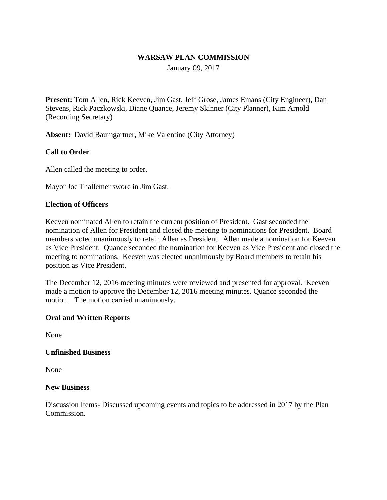### **WARSAW PLAN COMMISSION**

January 09, 2017

**Present:** Tom Allen**,** Rick Keeven, Jim Gast, Jeff Grose, James Emans (City Engineer), Dan Stevens, Rick Paczkowski, Diane Quance, Jeremy Skinner (City Planner), Kim Arnold (Recording Secretary)

**Absent:** David Baumgartner, Mike Valentine (City Attorney)

### **Call to Order**

Allen called the meeting to order.

Mayor Joe Thallemer swore in Jim Gast.

### **Election of Officers**

Keeven nominated Allen to retain the current position of President. Gast seconded the nomination of Allen for President and closed the meeting to nominations for President. Board members voted unanimously to retain Allen as President. Allen made a nomination for Keeven as Vice President. Quance seconded the nomination for Keeven as Vice President and closed the meeting to nominations. Keeven was elected unanimously by Board members to retain his position as Vice President.

The December 12, 2016 meeting minutes were reviewed and presented for approval. Keeven made a motion to approve the December 12, 2016 meeting minutes. Quance seconded the motion. The motion carried unanimously.

#### **Oral and Written Reports**

None

### **Unfinished Business**

None

#### **New Business**

Discussion Items- Discussed upcoming events and topics to be addressed in 2017 by the Plan Commission.